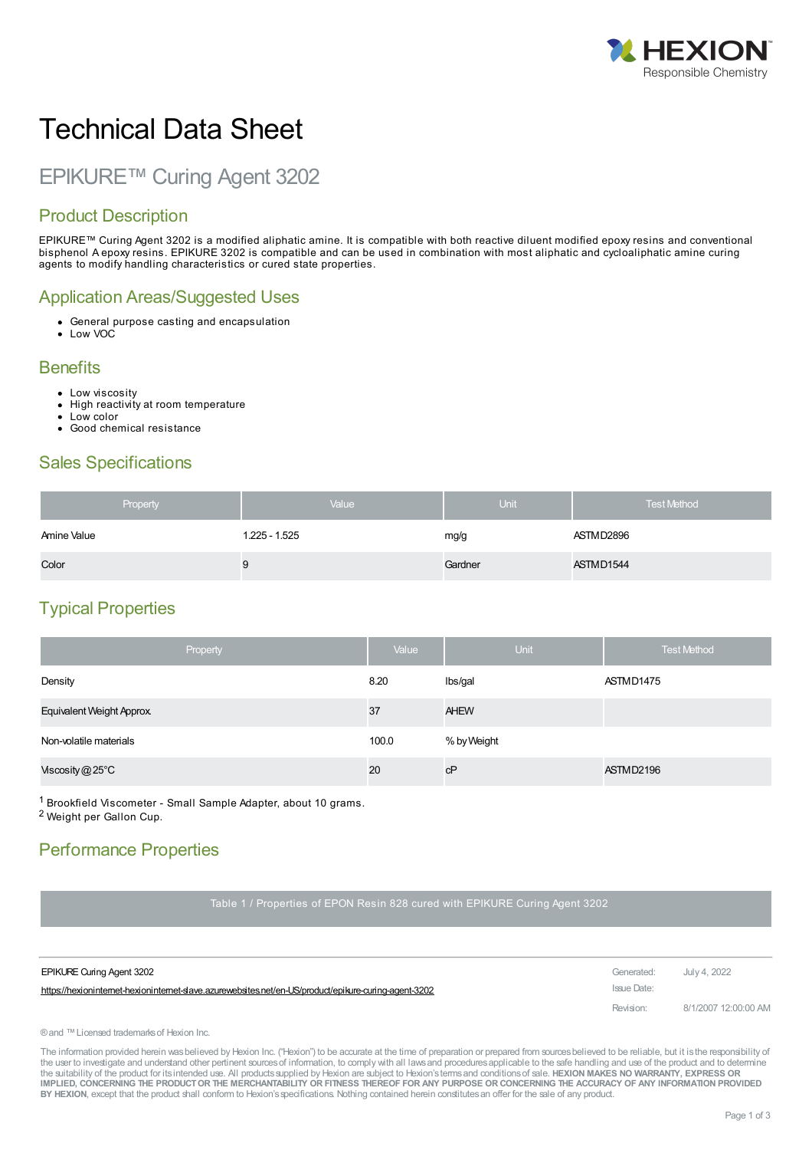

# Technical Data Sheet

## EPIKURE™ Curing Agent 3202

### Product Description

EPIKURE™ Curing Agent 3202 is a modified aliphatic amine. It is compatible with both reactive diluent modified epoxy resins and conventional bisphenol A epoxy resins. EPIKURE 3202 is compatible and can be used in combination with most aliphatic and cycloaliphatic amine curing agents to modify handling characteristics or cured state properties.

#### Application Areas/Suggested Uses

- General purpose casting and encapsulation
- Low VOC

#### **Benefits**

- Low viscosity
- High reactivity at room temperature  $\bullet$
- Low color
- Good chemical resistance

#### Sales Specifications

| Property    | Value         | <b>Unit</b> | <b>Test Method</b> |
|-------------|---------------|-------------|--------------------|
| Amine Value | 1.225 - 1.525 | mg/g        | ASTMD2896          |
| Color       |               | Gardner     | ASTMD1544          |

### Typical Properties

| Property                        | Value | <b>Unit</b> | <b>Test Method</b> |
|---------------------------------|-------|-------------|--------------------|
| Density                         | 8.20  | Ibs/gal     | ASTMD1475          |
| <b>Equivalent Weight Approx</b> | 37    | <b>AHEW</b> |                    |
| Non-volatile materials          | 100.0 | % by Weight |                    |
| Viscosity $@25^{\circ}$ C       | 20    | cP          | ASTMD2196          |

1 Brookfield Viscometer - Small Sample Adapter, about 10 grams.

2 Weight per Gallon Cup.

### Performance Properties

Table 1 / Properties of EPON Resin 828 cured with EPIKURE Curing Agent 3202

| <b>EPIKURE Curing Agent 3202</b>                                                                      | Generated:  | July 4. 2022         |
|-------------------------------------------------------------------------------------------------------|-------------|----------------------|
| https://hexioninternet-hexioninternet-slave.azurewebsites.net/en-US/product/epikure-curing-agent-3202 | Issue Date: |                      |
|                                                                                                       | Revision:   | 8/1/2007 12:00:00 AM |

® and ™ Licensed trademarks of Hexion Inc.

The information provided herein was believed by Hexion Inc. ("Hexion") to be accurate at the time of preparation or prepared from sources believed to be reliable, but it is the responsibility of the user to investigate and understand other pertinent sources of information, to comply with all laws and procedures applicable to the safe handling and use of the product and to determine the suitability of the product for itsintended use. All productssupplied by Hexion are subject to Hexion'stermsand conditionsof sale. **HEXION MAKES NO WARRANTY, EXPRESS OR** IMPLIED, CONCERNING THE PRODUCT OR THE MERCHANTABILITY OR FITNESS THEREOF FOR ANY PURPOSE OR CONCERNING THE ACCURACY OF ANY INFORMATION PROVIDED **BY HEXION**, except that the product shall conform to Hexion'sspecifications. Nothing contained herein constitutesan offer for the sale of any product.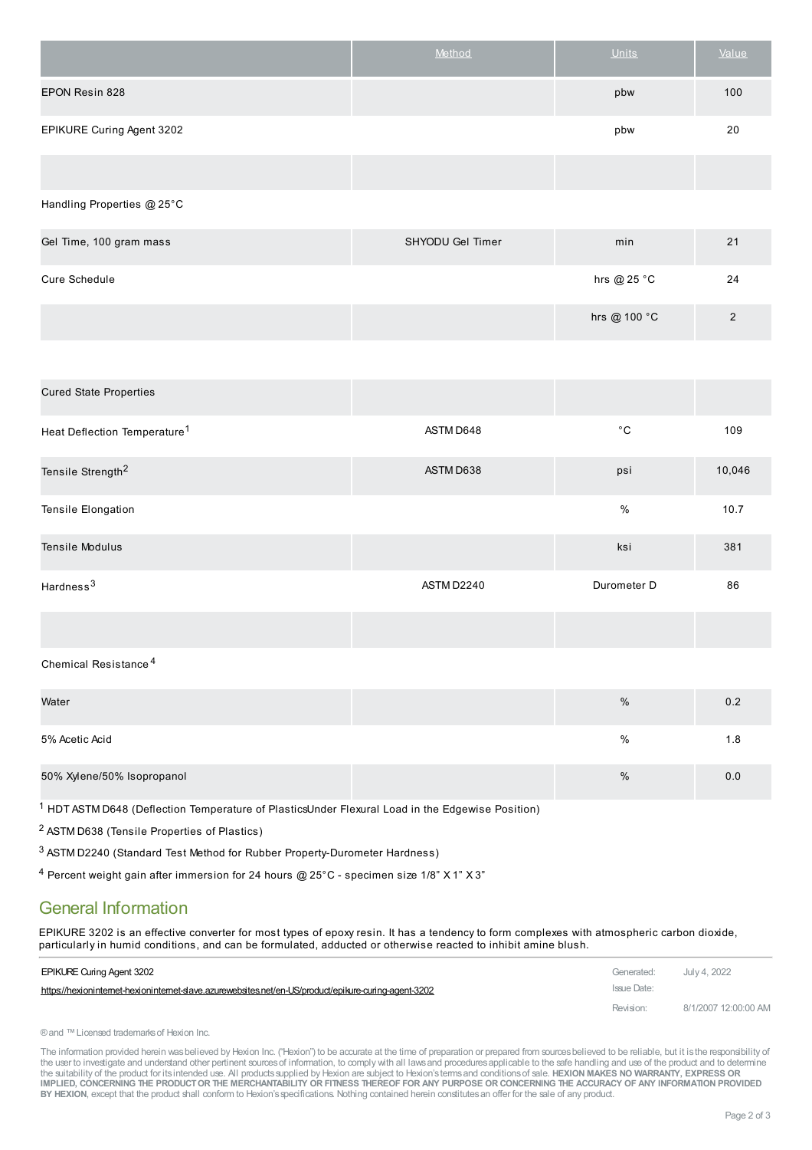|                           | Method | <b>Units</b> | Value |
|---------------------------|--------|--------------|-------|
| EPON Resin 828            |        | pbw          | 100   |
| EPIKURE Curing Agent 3202 |        | pbw          | 20    |
|                           |        |              |       |

#### Handling Properties @ 25°C

| Gel Time, 100 gram mass | SHYODU Gel Timer | min           | 21 |
|-------------------------|------------------|---------------|----|
| <b>Cure Schedule</b>    |                  | hrs @ $25 °C$ | 24 |
|                         |                  | hrs @ 100 °C  | ົ  |

| <b>Cured State Properties</b>            |            |              |        |
|------------------------------------------|------------|--------------|--------|
| Heat Deflection Temperature <sup>1</sup> | ASTM D648  | $^{\circ}$ C | 109    |
| Tensile Strength <sup>2</sup>            | ASTM D638  | psi          | 10,046 |
| Tensile Elongation                       |            | $\%$         | 10.7   |
| <b>Tensile Modulus</b>                   |            | ksi          | 381    |
| Hardness <sup>3</sup>                    | ASTM D2240 | Durometer D  | 86     |
|                                          |            |              |        |

#### Chemical Resistance 4

| Water                      | % | 0.2 |
|----------------------------|---|-----|
| 5% Acetic Acid             | % | 1.8 |
| 50% Xylene/50% Isopropanol | % | 0.0 |

1 HDT ASTM D648 (Deflection Temperature of PlasticsUnder Flexural Load in the Edgewise Position)

2 ASTM D638 (Tensile Properties of Plastics)

3 ASTM D2240 (Standard Test Method for Rubber Property-Durometer Hardness)

4 Percent weight gain after immersion for 24 hours @ 25°C - specimen size 1/8" X 1" X 3"

#### General Information

EPIKURE 3202 is an effective converter for most types of epoxy resin. It has a tendency to form complexes with atmospheric carbon dioxide, particularly in humid conditions, and can be [formulated,](https://hexioninternet-hexioninternet-slave.azurewebsites.net/en-US/product/epikure-curing-agent-3202) adducted or otherwise reacted to inhibit amine blush.

| <b>EPIKURE Curing Agent 3202</b>                                                                      | Generated:  | July 4, 2022         |
|-------------------------------------------------------------------------------------------------------|-------------|----------------------|
| https://hexioninternet-hexioninternet-slave.azurewebsites.net/en-US/product/epikure-curing-agent-3202 | Issue Date: |                      |
|                                                                                                       | Revision:   | 8/1/2007 12:00:00 AM |

```
® and ™ Licensed trademarks of Hexion Inc.
```
The information provided herein was believed by Hexion Inc. ("Hexion") to be accurate at the time of preparation or prepared from sources believed to be reliable, but it is the responsibility of the user to investigate and understand other pertinent sources of information, to comply with all laws and procedures applicable to the safe handling and use of the product and to determine the suitability of the product for itsintended use. All productssupplied by Hexion are subject to Hexion'stermsand conditionsof sale. **HEXION MAKES NO WARRANTY, EXPRESS OR** IMPLIED, CONCERNING THE PRODUCT OR THE MERCHANTABILITY OR FITNESS THEREOF FOR ANY PURPOSE OR CONCERNING THE ACCURACY OF ANY INFORMATION PROVIDED **BY HEXION**, except that the product shall conform to Hexion'sspecifications. Nothing contained herein constitutesan offer for the sale of any product.